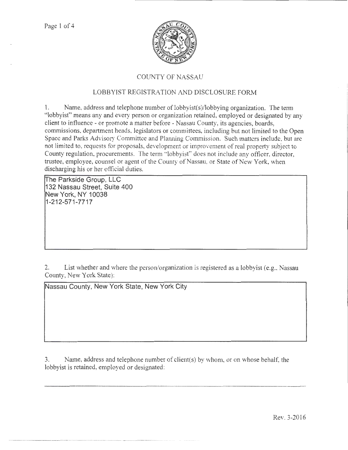

## COUNTY OF NASSAU

## LOBBYIST REGISTRATION AND DISCLOSURE FORM

l. Name, address and telephone number oflobbyist(s)/lobbying organization. The term "lobbyist" means any and every person or organization retained, employed or designated by any client to influence- or promote a matter before- Nassau County, its agencies, boards, commissions, department heads, legislators or committees, including but not limited to the Open Space and Parks Advisory Committee and Planning Commission. Such matters include, but arc not limited to, requests for proposals, development or improvement of real property subject to County regulation, procurements. The term "lobbyist" does not include any officer, director, trustee, employee, counsel or agent of the County of Nassau, or State of New York, when discharging his or her official duties.

**!The Parkside Group, LLC 132 Nassau Street, Suite 400 New York, NY 1 0038 1-212-571-7717** 

········-·········-·-·-·····-----···--·--·-·····-···-·············-···········-······--··-·---·--- ....

2. List whether and where the person/organization is registered as a lobbyist (e.g., Nassau County, New York State):

**Nassau County, New York State, New York City** 

3. Name, address and telephone number of client(s) by whom. or on whose behalf, the lobbyist is retained, employed or designated: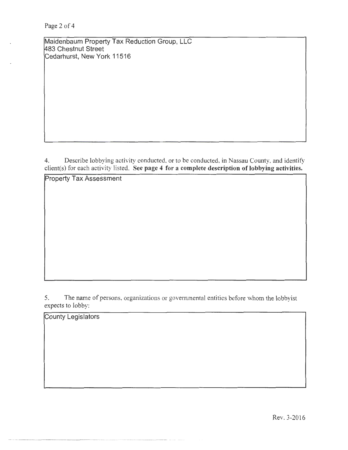Maidenbaum Property Tax Reduction Group, LLC ~83 Chestnut Street Cedarhurst, New York 11516

4. Describe lobbying activity conducted, or to be conducted, in Nassau County, and identify client(s) for each activity listed. See page 4 for a complete description of lobbying activities.

Property Tax Assessment

5. The name of persons, organizations or goverrunental entities before whom the lobbyist expects to lobby:

County Legislators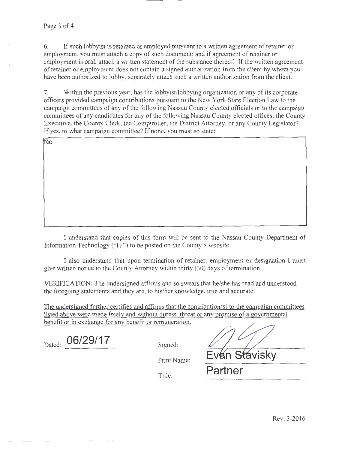6. If such lobbyist is retained or employed pursuant to a written agreement of retainer or employment, you must attach a copy of such document; and if agreement of retainer or employment is oral, attach a written statement of the substance thereof. If the written agreement of retainer or employment does not contain a signed authorization from the client by whom you have been authorized to lobby, separately attach such a written authorization from the client.

7. Within the previous year, has the lobbyist/lobbying organization or any of its corporate officers provided campaign contributions pursuant to the New York State Election Law to the campaign committees of any of the following Nassau County elected officials or to the campaign committees of any candidates for any of the following Nassau County elected offices: the County Executive, the County Clerk, the Comptroller, the District Attorney, or any County Legislator? If yes, to what campaign committee? If none, you must so state:

No

I understand that copies of this form \vill be sent to the Nassau County Department of Information Technology ("IT") to be posted on the County's website.

I also understand that upon termination of retainer, employment or designation I must give written notice to the County Attorney within thirty  $(30)$  days of termination.

VERIFICATION: The undersigned affirms and so swears that he/she has read and understood the foregoing statements and they are, to his/her knowledge, true and accurate.

The undersigned further certifies and affirms that the contribution(s) to the campaign committees listed above were made freely and without duress, threat or any promise of a governmental benefit or in exchange for anv benefit or remuneration.

Dated: 06/29/17 <br>Signed:

Print Name:

Evan Stavisky Title: **Partner**